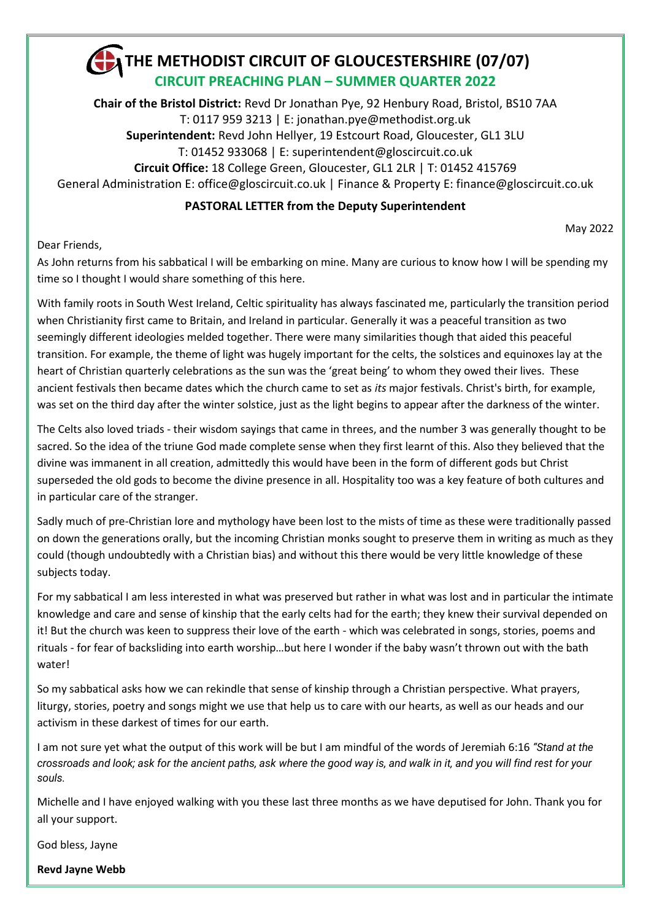

**Chair of the Bristol District:** Revd Dr Jonathan Pye, 92 Henbury Road, Bristol, BS10 7AA T: 0117 959 3213 | E: jonathan.pye@methodist.org.uk **Superintendent:** Revd John Hellyer, 19 Estcourt Road, Gloucester, GL1 3LU T: 01452 933068 | E: superintendent@gloscircuit.co.uk **Circuit Office:** 18 College Green, Gloucester, GL1 2LR | T: 01452 415769 General Administration E: office[@gloscircuit.co.uk](mailto:gloscircuit1@btconnect.com) | Finance & Property E: finance[@gloscircuit.co.uk](mailto:gloscircuit1@btconnect.com)

### **PASTORAL LETTER from the Deputy Superintendent**

May 2022

Dear Friends,

As John returns from his sabbatical I will be embarking on mine. Many are curious to know how I will be spending my time so I thought I would share something of this here.

With family roots in South West Ireland, Celtic spirituality has always fascinated me, particularly the transition period when Christianity first came to Britain, and Ireland in particular. Generally it was a peaceful transition as two seemingly different ideologies melded together. There were many similarities though that aided this peaceful transition. For example, the theme of light was hugely important for the celts, the solstices and equinoxes lay at the heart of Christian quarterly celebrations as the sun was the 'great being' to whom they owed their lives. These ancient festivals then became dates which the church came to set as *its* major festivals. Christ's birth, for example, was set on the third day after the winter solstice, just as the light begins to appear after the darkness of the winter.

The Celts also loved triads - their wisdom sayings that came in threes, and the number 3 was generally thought to be sacred. So the idea of the triune God made complete sense when they first learnt of this. Also they believed that the divine was immanent in all creation, admittedly this would have been in the form of different gods but Christ superseded the old gods to become the divine presence in all. Hospitality too was a key feature of both cultures and in particular care of the stranger.

Sadly much of pre-Christian lore and mythology have been lost to the mists of time as these were traditionally passed on down the generations orally, but the incoming Christian monks sought to preserve them in writing as much as they could (though undoubtedly with a Christian bias) and without this there would be very little knowledge of these subjects today.

For my sabbatical I am less interested in what was preserved but rather in what was lost and in particular the intimate knowledge and care and sense of kinship that the early celts had for the earth; they knew their survival depended on it! But the church was keen to suppress their love of the earth - which was celebrated in songs, stories, poems and rituals - for fear of backsliding into earth worship…but here I wonder if the baby wasn't thrown out with the bath water!

So my sabbatical asks how we can rekindle that sense of kinship through a Christian perspective. What prayers, liturgy, stories, poetry and songs might we use that help us to care with our hearts, as well as our heads and our activism in these darkest of times for our earth.

I am not sure yet what the output of this work will be but I am mindful of the words of Jeremiah 6:16 *"Stand at the crossroads and look; ask for the ancient paths, ask where the good way is, and walk in it, and you will find rest for your souls.*

Michelle and I have enjoyed walking with you these last three months as we have deputised for John. Thank you for all your support.

God bless, Jayne

**Revd Jayne Webb**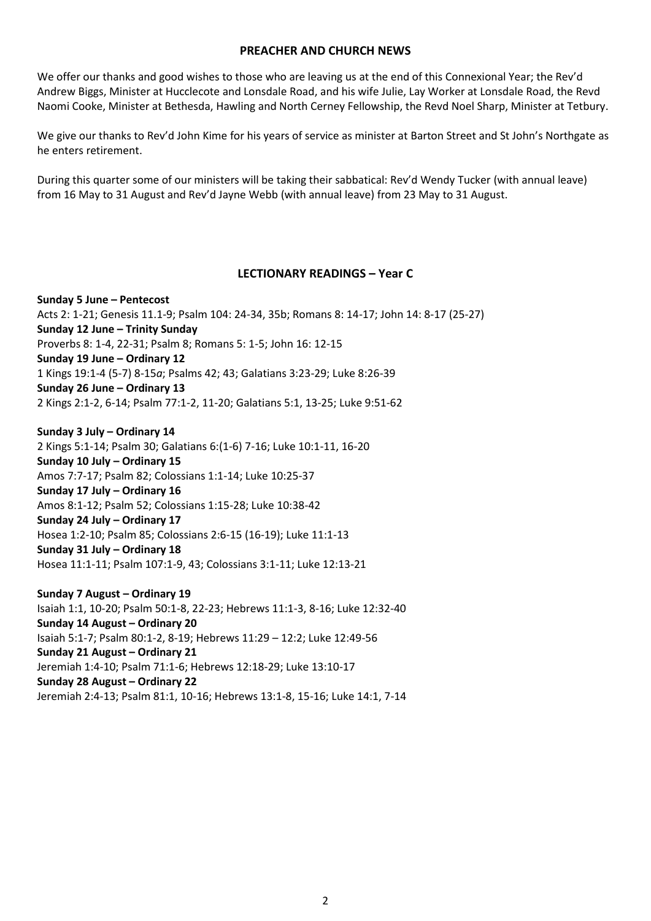#### **PREACHER AND CHURCH NEWS**

We offer our thanks and good wishes to those who are leaving us at the end of this Connexional Year; the Rev'd Andrew Biggs, Minister at Hucclecote and Lonsdale Road, and his wife Julie, Lay Worker at Lonsdale Road, the Revd Naomi Cooke, Minister at Bethesda, Hawling and North Cerney Fellowship, the Revd Noel Sharp, Minister at Tetbury.

We give our thanks to Rev'd John Kime for his years of service as minister at Barton Street and St John's Northgate as he enters retirement.

During this quarter some of our ministers will be taking their sabbatical: Rev'd Wendy Tucker (with annual leave) from 16 May to 31 August and Rev'd Jayne Webb (with annual leave) from 23 May to 31 August.

### **LECTIONARY READINGS – Year C**

**Sunday 5 June – Pentecost** Acts 2: 1-21; Genesis 11.1-9; Psalm 104: 24-34, 35b; Romans 8: 14-17; John 14: 8-17 (25-27) **Sunday 12 June – Trinity Sunday** Proverbs 8: 1-4, 22-31; Psalm 8; Romans 5: 1-5; John 16: 12-15 **Sunday 19 June – Ordinary 12** 1 Kings 19:1-4 (5-7) 8-15*a*; Psalms 42; 43; Galatians 3:23-29; Luke 8:26-39 **Sunday 26 June – Ordinary 13** 2 Kings 2:1-2, 6-14; Psalm 77:1-2, 11-20; Galatians 5:1, 13-25; Luke 9:51-62

**Sunday 3 July – Ordinary 14** 2 Kings 5:1-14; Psalm 30; Galatians 6:(1-6) 7-16; Luke 10:1-11, 16-20 **Sunday 10 July – Ordinary 15** Amos 7:7-17; Psalm 82; Colossians 1:1-14; Luke 10:25-37 **Sunday 17 July – Ordinary 16** Amos 8:1-12; Psalm 52; Colossians 1:15-28; Luke 10:38-42 **Sunday 24 July – Ordinary 17** Hosea 1:2-10; Psalm 85; Colossians 2:6-15 (16-19); Luke 11:1-13 **Sunday 31 July – Ordinary 18** Hosea 11:1-11; Psalm 107:1-9, 43; Colossians 3:1-11; Luke 12:13-21

**Sunday 7 August – Ordinary 19** Isaiah 1:1, 10-20; Psalm 50:1-8, 22-23; Hebrews 11:1-3, 8-16; Luke 12:32-40 **Sunday 14 August – Ordinary 20** Isaiah 5:1-7; Psalm 80:1-2, 8-19; Hebrews 11:29 – 12:2; Luke 12:49-56 **Sunday 21 August – Ordinary 21** Jeremiah 1:4-10; Psalm 71:1-6; Hebrews 12:18-29; Luke 13:10-17 **Sunday 28 August – Ordinary 22** Jeremiah 2:4-13; Psalm 81:1, 10-16; Hebrews 13:1-8, 15-16; Luke 14:1, 7-14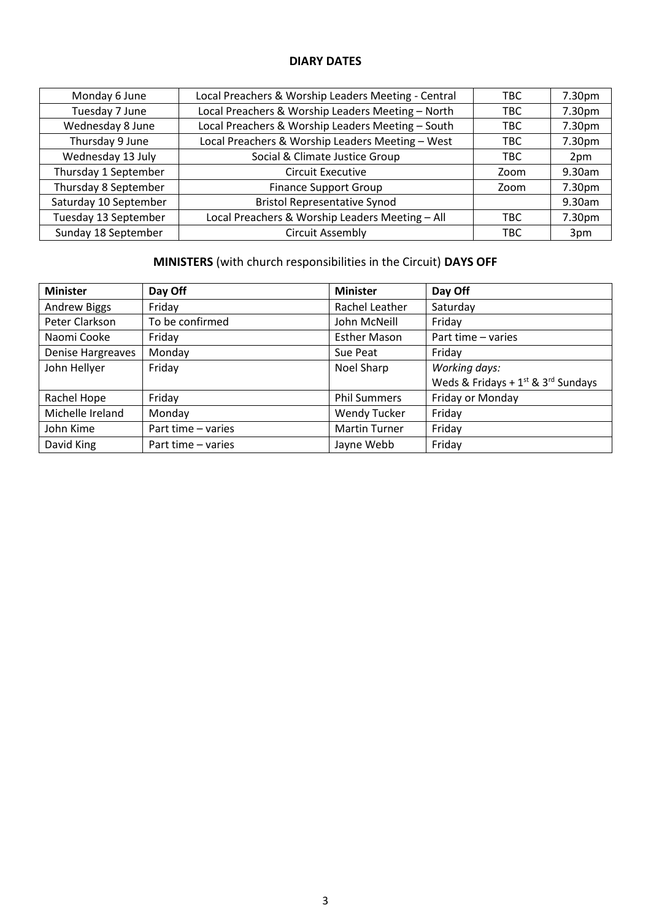## **DIARY DATES**

| Monday 6 June         | Local Preachers & Worship Leaders Meeting - Central | TBC. | 7.30pm |
|-----------------------|-----------------------------------------------------|------|--------|
| Tuesday 7 June        | Local Preachers & Worship Leaders Meeting - North   | TBC  | 7.30pm |
| Wednesday 8 June      | Local Preachers & Worship Leaders Meeting - South   | TBC  | 7.30pm |
| Thursday 9 June       | Local Preachers & Worship Leaders Meeting - West    | TBC  | 7.30pm |
| Wednesday 13 July     | Social & Climate Justice Group                      | TBC. | 2pm    |
| Thursday 1 September  | Circuit Executive                                   | Zoom | 9.30am |
| Thursday 8 September  | <b>Finance Support Group</b>                        | Zoom | 7.30pm |
| Saturday 10 September | <b>Bristol Representative Synod</b>                 |      | 9.30am |
| Tuesday 13 September  | Local Preachers & Worship Leaders Meeting - All     | TBC  | 7.30pm |
| Sunday 18 September   | <b>Circuit Assembly</b>                             | TBC  | 3pm    |

# **MINISTERS** (with church responsibilities in the Circuit) **DAYS OFF**

| <b>Minister</b>          | Day Off            | <b>Minister</b>      | Day Off                                      |
|--------------------------|--------------------|----------------------|----------------------------------------------|
| <b>Andrew Biggs</b>      | Friday             | Rachel Leather       | Saturday                                     |
| Peter Clarkson           | To be confirmed    | John McNeill         | Friday                                       |
| Naomi Cooke              | Friday             | <b>Esther Mason</b>  | Part time - varies                           |
| <b>Denise Hargreaves</b> | Monday             | Sue Peat             | Friday                                       |
| John Hellyer             | Friday             | Noel Sharp           | Working days:                                |
|                          |                    |                      | Weds & Fridays + $1^{st}$ & $3^{rd}$ Sundays |
| Rachel Hope              | Friday             | <b>Phil Summers</b>  | Friday or Monday                             |
| Michelle Ireland         | Monday             | <b>Wendy Tucker</b>  | Friday                                       |
| John Kime                | Part time - varies | <b>Martin Turner</b> | Friday                                       |
| David King               | Part time – varies | Jayne Webb           | Friday                                       |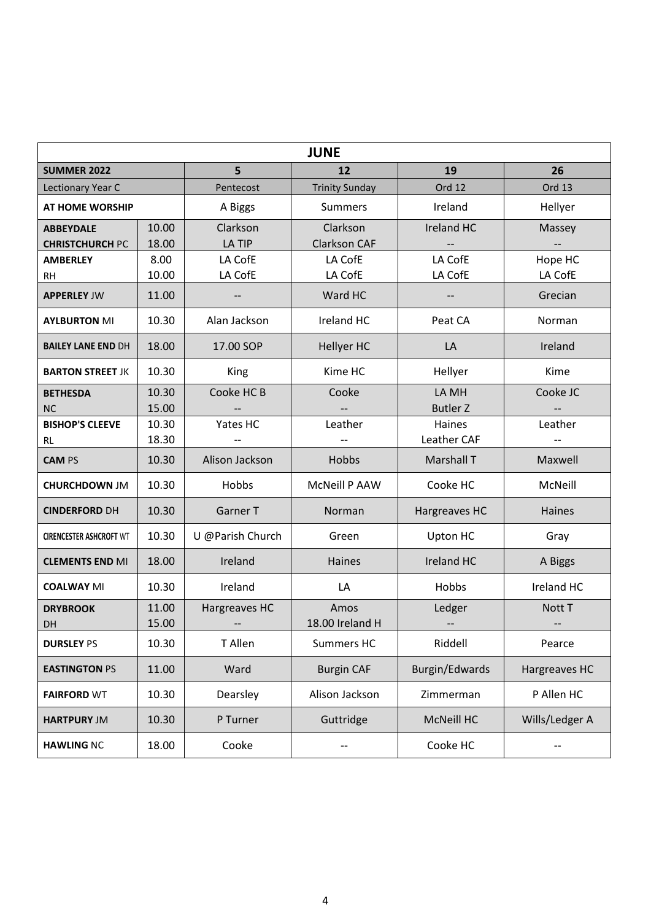|                                            |                |                       | <b>JUNE</b>                     |                          |                    |
|--------------------------------------------|----------------|-----------------------|---------------------------------|--------------------------|--------------------|
| <b>SUMMER 2022</b>                         |                | 5                     | 12                              | 19                       | 26                 |
| Lectionary Year C                          |                | Pentecost             | <b>Trinity Sunday</b>           | Ord 12                   | Ord 13             |
| <b>AT HOME WORSHIP</b>                     |                | A Biggs               | <b>Summers</b>                  | Ireland                  | Hellyer            |
| <b>ABBEYDALE</b><br><b>CHRISTCHURCH PC</b> | 10.00<br>18.00 | Clarkson<br>LA TIP    | Clarkson<br><b>Clarkson CAF</b> | <b>Ireland HC</b>        | Massey             |
| <b>AMBERLEY</b><br><b>RH</b>               | 8.00<br>10.00  | LA CofE<br>LA CofE    | LA CofE<br>LA CofE              | LA CofE<br>LA CofE       | Hope HC<br>LA CofE |
| <b>APPERLEY JW</b>                         | 11.00          |                       | Ward HC                         |                          | Grecian            |
| <b>AYLBURTON MI</b>                        | 10.30          | Alan Jackson          | Ireland HC                      | Peat CA                  | Norman             |
| <b>BAILEY LANE END DH</b>                  | 18.00          | 17.00 SOP             | <b>Hellyer HC</b>               | LA                       | Ireland            |
| <b>BARTON STREET JK</b>                    | 10.30          | King                  | Kime HC                         | Hellyer                  | Kime               |
| <b>BETHESDA</b><br><b>NC</b>               | 10.30<br>15.00 | Cooke HC <sub>B</sub> | Cooke                           | LA MH<br><b>Butler Z</b> | Cooke JC           |
| <b>BISHOP'S CLEEVE</b><br>RL               | 10.30<br>18.30 | Yates HC              | Leather                         | Haines<br>Leather CAF    | Leather            |
| <b>CAM PS</b>                              | 10.30          | Alison Jackson        | Hobbs                           | <b>Marshall T</b>        | Maxwell            |
| <b>CHURCHDOWN JM</b>                       | 10.30          | Hobbs                 | <b>McNeill P AAW</b>            | Cooke HC                 | McNeill            |
| <b>CINDERFORD DH</b>                       | 10.30          | Garner T              | Norman                          | Hargreaves HC            | Haines             |
| <b>CIRENCESTER ASHCROFT WT</b>             | 10.30          | U @Parish Church      | Green                           | Upton HC                 | Gray               |
| <b>CLEMENTS END MI</b>                     | 18.00          | Ireland               | Haines                          | Ireland HC               | A Biggs            |
| <b>COALWAY MI</b>                          | 10.30          | Ireland               | LA                              | Hobbs                    | Ireland HC         |
| <b>DRYBROOK</b><br>DH                      | 11.00<br>15.00 | Hargreaves HC         | Amos<br>18.00 Ireland H         | Ledger                   | Nott T             |
| <b>DURSLEY PS</b>                          | 10.30          | T Allen               | Summers HC                      | Riddell                  | Pearce             |
| <b>EASTINGTON PS</b>                       | 11.00          | Ward                  | <b>Burgin CAF</b>               | Burgin/Edwards           | Hargreaves HC      |
| <b>FAIRFORD WT</b>                         | 10.30          | Dearsley              | Alison Jackson                  | Zimmerman                | P Allen HC         |
| <b>HARTPURY JM</b>                         | 10.30          | P Turner              | Guttridge                       | <b>McNeill HC</b>        | Wills/Ledger A     |
| <b>HAWLING NC</b>                          | 18.00          | Cooke                 | --                              | Cooke HC                 | --                 |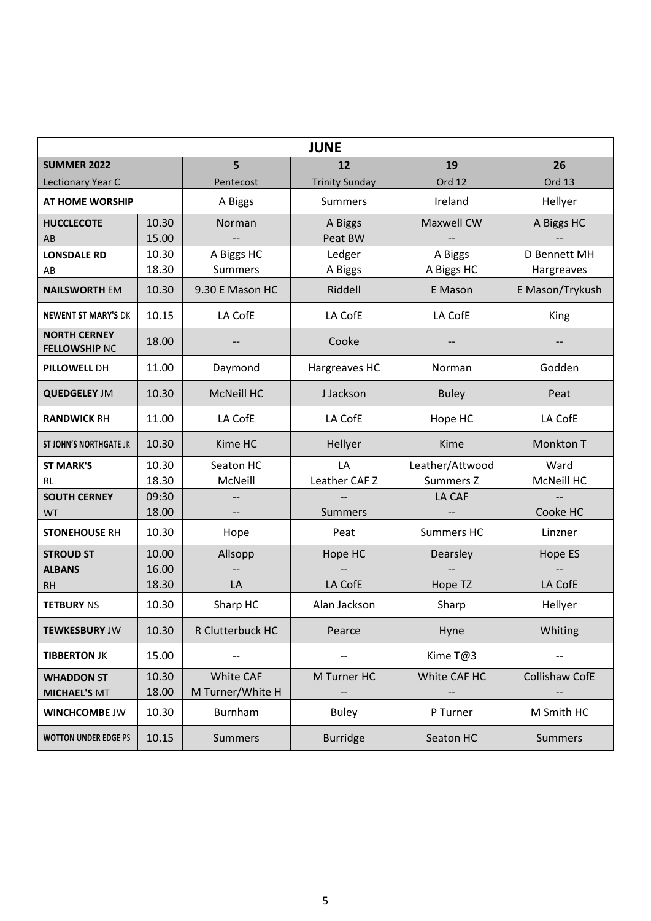|                                             |                |                                      | <b>JUNE</b>              |                       |                            |
|---------------------------------------------|----------------|--------------------------------------|--------------------------|-----------------------|----------------------------|
| <b>SUMMER 2022</b>                          |                | 5                                    | 12                       | 19                    | 26                         |
| Lectionary Year C                           |                | Pentecost                            | <b>Trinity Sunday</b>    | Ord 12                | Ord 13                     |
| <b>AT HOME WORSHIP</b>                      |                | A Biggs                              | <b>Summers</b>           | Ireland               | Hellyer                    |
| <b>HUCCLECOTE</b><br>AB                     | 10.30<br>15.00 | Norman                               | A Biggs<br>Peat BW       | <b>Maxwell CW</b>     | A Biggs HC                 |
| <b>LONSDALE RD</b><br>AB                    | 10.30<br>18.30 | A Biggs HC<br><b>Summers</b>         | Ledger<br>A Biggs        | A Biggs<br>A Biggs HC | D Bennett MH<br>Hargreaves |
| <b>NAILSWORTH EM</b>                        | 10.30          | 9.30 E Mason HC                      | Riddell                  | E Mason               | E Mason/Trykush            |
| <b>NEWENT ST MARY'S DK</b>                  | 10.15          | LA CofE                              | LA CofE                  | LA CofE               | King                       |
| <b>NORTH CERNEY</b><br><b>FELLOWSHIP NC</b> | 18.00          |                                      | Cooke                    |                       |                            |
| PILLOWELL DH                                | 11.00          | Daymond                              | Hargreaves HC            | Norman                | Godden                     |
| <b>QUEDGELEY JM</b>                         | 10.30          | <b>McNeill HC</b>                    | J Jackson                | <b>Buley</b>          | Peat                       |
| <b>RANDWICK RH</b>                          | 11.00          | LA CofE                              | LA CofE                  | Hope HC               | LA CofE                    |
| <b>ST JOHN'S NORTHGATE JK</b>               | 10.30          | Kime HC                              | Hellyer                  | Kime                  | <b>Monkton T</b>           |
| <b>ST MARK'S</b>                            | 10.30          | Seaton HC                            | LA                       | Leather/Attwood       | Ward                       |
| RL                                          | 18.30          | McNeill                              | Leather CAF <sub>Z</sub> | Summers Z             | McNeill HC                 |
| <b>SOUTH CERNEY</b>                         | 09:30          |                                      |                          | LA CAF                |                            |
| <b>WT</b>                                   | 18.00          |                                      | <b>Summers</b>           |                       | Cooke HC                   |
| <b>STONEHOUSE RH</b>                        | 10.30          | Hope                                 | Peat                     | <b>Summers HC</b>     | Linzner                    |
| <b>STROUD ST</b>                            | 10.00          | Allsopp                              | Hope HC                  | Dearsley              | Hope ES                    |
| <b>ALBANS</b>                               | 16.00          |                                      |                          |                       |                            |
| <b>RH</b>                                   | 18.30          | LA                                   | LA CofE                  | Hope TZ               | LA CofE                    |
| <b>TETBURY NS</b>                           | 10.30          | Sharp HC                             | Alan Jackson             | Sharp                 | Hellyer                    |
| <b>TEWKESBURY JW</b>                        | 10.30          | R Clutterbuck HC                     | Pearce                   | Hyne                  | Whiting                    |
| <b>TIBBERTON JK</b>                         | 15.00          |                                      |                          | Kime T@3              |                            |
| <b>WHADDON ST</b><br><b>MICHAEL'S MT</b>    | 10.30<br>18.00 | <b>White CAF</b><br>M Turner/White H | M Turner HC              | White CAF HC          | Collishaw CofE             |
| <b>WINCHCOMBE JW</b>                        | 10.30          | Burnham                              | <b>Buley</b>             | P Turner              | M Smith HC                 |
| <b>WOTTON UNDER EDGE PS</b>                 | 10.15          | <b>Summers</b>                       | <b>Burridge</b>          | Seaton HC             | Summers                    |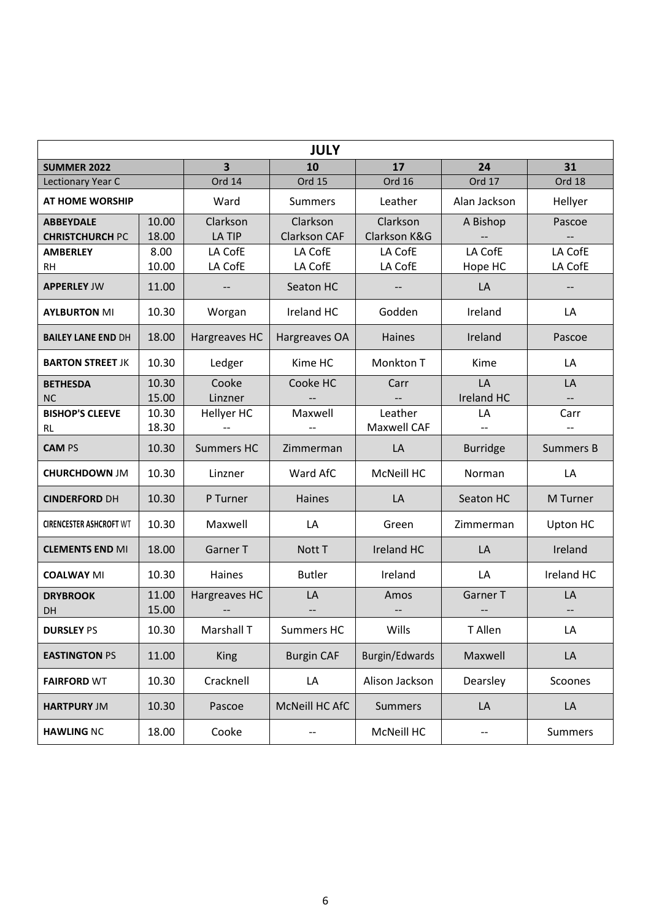| <b>JULY</b>                    |                |                          |                                       |                |                   |                          |
|--------------------------------|----------------|--------------------------|---------------------------------------|----------------|-------------------|--------------------------|
| <b>SUMMER 2022</b>             |                | $\overline{\mathbf{3}}$  | 10                                    | 17             | 24                | 31                       |
| Lectionary Year C              |                | Ord 14                   | <b>Ord 15</b>                         | <b>Ord 16</b>  | Ord 17            | Ord 18                   |
| <b>AT HOME WORSHIP</b>         |                | Ward                     | <b>Summers</b>                        | Leather        | Alan Jackson      | Hellyer                  |
| <b>ABBEYDALE</b>               | 10.00          | Clarkson                 | Clarkson                              | Clarkson       | A Bishop          | Pascoe                   |
| <b>CHRISTCHURCH PC</b>         | 18.00          | LA TIP                   | <b>Clarkson CAF</b>                   | Clarkson K&G   |                   |                          |
| <b>AMBERLEY</b>                | 8.00           | LA CofE                  | LA CofE                               | LA CofE        | LA CofE           | LA CofE                  |
| <b>RH</b>                      | 10.00          | LA CofE                  | LA CofE                               | LA CofE        | Hope HC           | LA CofE                  |
| <b>APPERLEY JW</b>             | 11.00          | $\overline{\phantom{a}}$ | Seaton HC                             |                | LA                | $\overline{\phantom{a}}$ |
| <b>AYLBURTON MI</b>            | 10.30          | Worgan                   | Ireland HC                            | Godden         | Ireland           | LA                       |
| <b>BAILEY LANE END DH</b>      | 18.00          | Hargreaves HC            | Hargreaves OA                         | Haines         | Ireland           | Pascoe                   |
| <b>BARTON STREET JK</b>        | 10.30          | Ledger                   | Kime HC                               | Monkton T      | Kime              | LA                       |
| <b>BETHESDA</b>                | 10.30          | Cooke                    | Cooke HC                              | Carr           | LA                | LA                       |
| <b>NC</b>                      | 15.00          | Linzner                  |                                       |                | <b>Ireland HC</b> |                          |
| <b>BISHOP'S CLEEVE</b>         | 10.30          | Hellyer HC               | Maxwell                               | Leather        | LA                | Carr                     |
| RL                             | 18.30          |                          |                                       | Maxwell CAF    |                   |                          |
| <b>CAM PS</b>                  | 10.30          | <b>Summers HC</b>        | Zimmerman                             | LA             | <b>Burridge</b>   | <b>Summers B</b>         |
| <b>CHURCHDOWN JM</b>           | 10.30          | Linzner                  | Ward AfC                              | McNeill HC     | Norman            | LA                       |
| <b>CINDERFORD DH</b>           | 10.30          | P Turner                 | Haines                                | LA             | Seaton HC         | M Turner                 |
| <b>CIRENCESTER ASHCROFT WT</b> | 10.30          | Maxwell                  | LA                                    | Green          | Zimmerman         | Upton HC                 |
| <b>CLEMENTS END MI</b>         | 18.00          | <b>Garner T</b>          | Nott T                                | Ireland HC     | LA                | Ireland                  |
| <b>COALWAY MI</b>              | 10.30          | Haines                   | <b>Butler</b>                         | Ireland        | LA                | Ireland HC               |
| <b>DRYBROOK</b><br>DH          | 11.00<br>15.00 | Hargreaves HC            | LA                                    | Amos           | Garner T          | LA                       |
|                                |                |                          |                                       |                |                   |                          |
| <b>DURSLEY PS</b>              | 10.30          | Marshall T               | Summers HC                            | Wills          | T Allen           | LA                       |
| <b>EASTINGTON PS</b>           | 11.00          | <b>King</b>              | <b>Burgin CAF</b>                     | Burgin/Edwards | Maxwell           | LA                       |
| <b>FAIRFORD WT</b>             | 10.30          | Cracknell                | LA                                    | Alison Jackson | Dearsley          | Scoones                  |
| <b>HARTPURY JM</b>             | 10.30          | Pascoe                   | McNeill HC AfC                        | <b>Summers</b> | LA                | LA                       |
| <b>HAWLING NC</b>              | 18.00          | Cooke                    | $\hspace{0.05cm}$ – $\hspace{0.05cm}$ | McNeill HC     | --                | <b>Summers</b>           |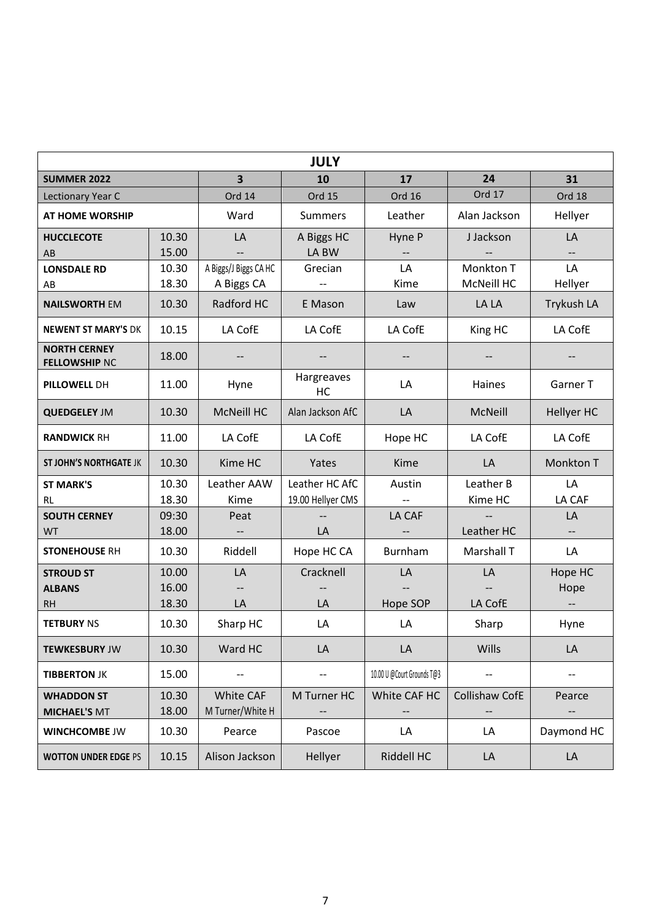|                                             |       |                         | <b>JULY</b>             |                            |                |                          |
|---------------------------------------------|-------|-------------------------|-------------------------|----------------------------|----------------|--------------------------|
| <b>SUMMER 2022</b>                          |       | $\overline{\mathbf{3}}$ | 10                      | 17                         | 24             | 31                       |
| Lectionary Year C                           |       | Ord 14                  | <b>Ord 15</b>           | <b>Ord 16</b>              | Ord 17         | Ord 18                   |
| <b>AT HOME WORSHIP</b>                      |       | Ward                    | <b>Summers</b>          | Leather                    | Alan Jackson   | Hellyer                  |
| <b>HUCCLECOTE</b>                           | 10.30 | LA                      | A Biggs HC              | Hyne P                     | J Jackson      | LA                       |
| AB                                          | 15.00 |                         | LA BW                   |                            |                |                          |
| <b>LONSDALE RD</b>                          | 10.30 | A Biggs/J Biggs CA HC   | Grecian                 | LA                         | Monkton T      | LA                       |
| AB                                          | 18.30 | A Biggs CA              |                         | Kime                       | McNeill HC     | Hellyer                  |
| <b>NAILSWORTH EM</b>                        | 10.30 | Radford HC              | E Mason                 | Law                        | LA LA          | <b>Trykush LA</b>        |
| <b>NEWENT ST MARY'S DK</b>                  | 10.15 | LA CofE                 | LA CofE                 | LA CofE                    | King HC        | LA CofE                  |
| <b>NORTH CERNEY</b><br><b>FELLOWSHIP NC</b> | 18.00 | $-$                     |                         |                            |                |                          |
| PILLOWELL DH                                | 11.00 | Hyne                    | Hargreaves<br><b>HC</b> | LA                         | Haines         | Garner T                 |
| <b>QUEDGELEY JM</b>                         | 10.30 | <b>McNeill HC</b>       | Alan Jackson AfC        | LA                         | McNeill        | <b>Hellyer HC</b>        |
| <b>RANDWICK RH</b>                          | 11.00 | LA CofE                 | LA CofE                 | Hope HC                    | LA CofE        | LA CofE                  |
| <b>ST JOHN'S NORTHGATE JK</b>               | 10.30 | Kime HC                 | Yates                   | Kime                       | LA             | Monkton T                |
| <b>ST MARK'S</b>                            | 10.30 | Leather AAW             | Leather HC AfC          | Austin                     | Leather B      | LA                       |
| RL                                          | 18.30 | Kime                    | 19.00 Hellyer CMS       |                            | Kime HC        | LA CAF                   |
| <b>SOUTH CERNEY</b>                         | 09:30 | Peat                    |                         | LA CAF                     |                | LA                       |
| <b>WT</b>                                   | 18.00 |                         | LA                      |                            | Leather HC     |                          |
| <b>STONEHOUSE RH</b>                        | 10.30 | Riddell                 | Hope HC CA              | Burnham                    | Marshall T     | LA                       |
| <b>STROUD ST</b>                            | 10.00 | LA                      | Cracknell               | LA                         | LA             | Hope HC                  |
| <b>ALBANS</b>                               | 16.00 |                         |                         |                            |                | Hope                     |
| <b>RH</b>                                   | 18.30 | LA                      | LA                      | Hope SOP                   | LA CofE        | $\overline{\phantom{a}}$ |
| <b>TETBURY NS</b>                           | 10.30 | Sharp HC                | LA                      | LA                         | Sharp          | Hyne                     |
| <b>TEWKESBURY JW</b>                        | 10.30 | Ward HC                 | LA                      | LA                         | Wills          | LA                       |
| <b>TIBBERTON JK</b>                         | 15.00 | --                      | --                      | 10.00 U @Court Grounds T@3 | --             | --                       |
| <b>WHADDON ST</b>                           | 10.30 | <b>White CAF</b>        | M Turner HC             | White CAF HC               | Collishaw CofE | Pearce                   |
| <b>MICHAEL'S MT</b>                         | 18.00 | M Turner/White H        |                         |                            |                |                          |
| <b>WINCHCOMBE JW</b>                        | 10.30 | Pearce                  | Pascoe                  | LA                         | LA             | Daymond HC               |
| <b>WOTTON UNDER EDGE PS</b>                 | 10.15 | Alison Jackson          | Hellyer                 | Riddell HC                 | LA             | LA                       |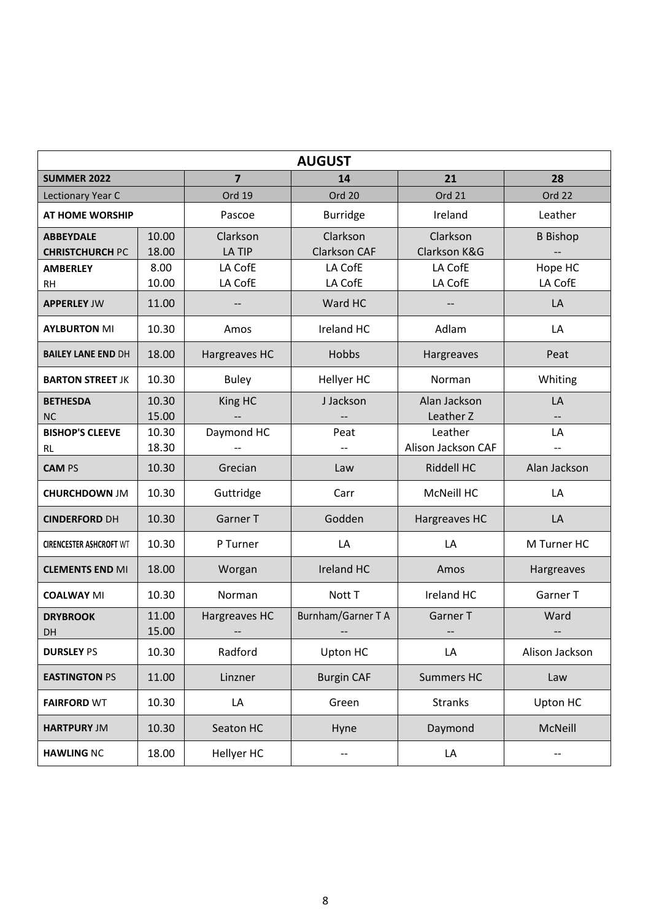|                                            |                |                           | <b>AUGUST</b>                    |                          |                                |
|--------------------------------------------|----------------|---------------------------|----------------------------------|--------------------------|--------------------------------|
| <b>SUMMER 2022</b>                         |                | $\overline{7}$            | 14                               | 21                       | 28                             |
| Lectionary Year C                          |                | Ord 19                    | Ord 20                           | Ord 21                   | Ord 22                         |
| <b>AT HOME WORSHIP</b>                     |                | Pascoe                    | <b>Burridge</b>                  | Ireland                  | Leather                        |
| <b>ABBEYDALE</b><br><b>CHRISTCHURCH PC</b> | 10.00<br>18.00 | Clarkson<br><b>LA TIP</b> | Clarkson<br><b>Clarkson CAF</b>  | Clarkson<br>Clarkson K&G | <b>B</b> Bishop                |
| <b>AMBERLEY</b>                            | 8.00           | LA CofE                   | LA CofE                          | LA CofE                  | Hope HC                        |
| <b>RH</b>                                  | 10.00          | LA CofE                   | LA CofE                          | LA CofE                  | LA CofE                        |
| <b>APPERLEY JW</b>                         | 11.00          |                           | Ward HC                          |                          | LA                             |
| <b>AYLBURTON MI</b>                        | 10.30          | Amos                      | Ireland HC                       | Adlam                    | LA                             |
| <b>BAILEY LANE END DH</b>                  | 18.00          | Hargreaves HC             | Hobbs                            | Hargreaves               | Peat                           |
| <b>BARTON STREET JK</b>                    | 10.30          | <b>Buley</b>              | Hellyer HC                       | Norman                   | Whiting                        |
| <b>BETHESDA</b>                            | 10.30          | King HC                   | J Jackson                        | Alan Jackson             | LA                             |
| <b>NC</b>                                  | 15.00          |                           |                                  | Leather Z<br>Leather     |                                |
| <b>BISHOP'S CLEEVE</b><br>RL               | 10.30<br>18.30 | Daymond HC                | Peat<br>$\overline{\phantom{a}}$ | Alison Jackson CAF       | LA<br>$\overline{\phantom{a}}$ |
| <b>CAM PS</b>                              | 10.30          | Grecian                   | Law                              | Riddell HC               | Alan Jackson                   |
| <b>CHURCHDOWN JM</b>                       | 10.30          | Guttridge                 | Carr                             | <b>McNeill HC</b>        | LA                             |
| <b>CINDERFORD DH</b>                       | 10.30          | Garner T                  | Godden                           | Hargreaves HC            | LA                             |
| <b>CIRENCESTER ASHCROFT WT</b>             | 10.30          | P Turner                  | LA                               | LA                       | M Turner HC                    |
| <b>CLEMENTS END MI</b>                     | 18.00          | Worgan                    | Ireland HC                       | Amos                     | Hargreaves                     |
| <b>COALWAY MI</b>                          | 10.30          | Norman                    | Nott T                           | Ireland HC               | Garner T                       |
| <b>DRYBROOK</b><br>DH                      | 11.00<br>15.00 | Hargreaves HC             | Burnham/Garner T A               | <b>Garner T</b>          | Ward                           |
| <b>DURSLEY PS</b>                          | 10.30          | Radford                   | Upton HC                         | LA                       | Alison Jackson                 |
| <b>EASTINGTON PS</b>                       | 11.00          | Linzner                   | <b>Burgin CAF</b>                | <b>Summers HC</b>        | Law                            |
| <b>FAIRFORD WT</b>                         | 10.30          | LA                        | Green                            | <b>Stranks</b>           | Upton HC                       |
| <b>HARTPURY JM</b>                         | 10.30          | Seaton HC                 | Hyne                             | Daymond                  | McNeill                        |
| <b>HAWLING NC</b>                          | 18.00          | Hellyer HC                |                                  | LA                       |                                |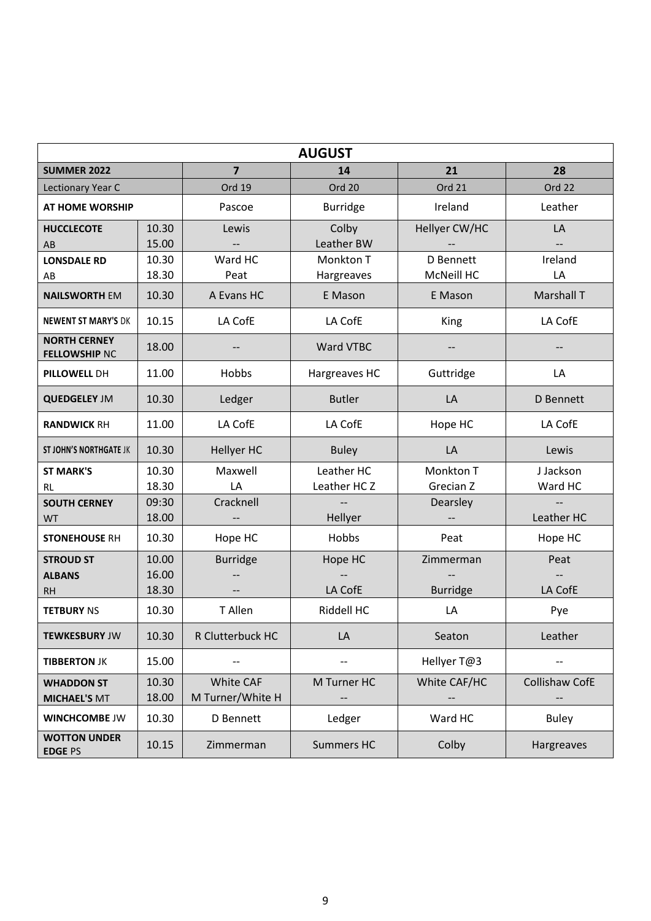|                                             |                |                               | <b>AUGUST</b>           |                   |                |
|---------------------------------------------|----------------|-------------------------------|-------------------------|-------------------|----------------|
| <b>SUMMER 2022</b>                          |                | $\overline{7}$                | 14                      | 21                | 28             |
| Lectionary Year C                           |                | Ord 19                        | Ord 20                  | Ord 21            | Ord 22         |
| <b>AT HOME WORSHIP</b>                      |                | Pascoe                        | <b>Burridge</b>         | Ireland           | Leather        |
| <b>HUCCLECOTE</b>                           | 10.30          | Lewis                         | Colby                   | Hellyer CW/HC     | LA             |
| AB                                          | 15.00          |                               | Leather BW              |                   | $-$            |
| <b>LONSDALE RD</b>                          | 10.30          | Ward HC                       | Monkton T               | D Bennett         | Ireland        |
| AB                                          | 18.30          | Peat                          | Hargreaves              | <b>McNeill HC</b> | LA             |
| <b>NAILSWORTH EM</b>                        | 10.30          | A Evans HC                    | E Mason                 | E Mason           | Marshall T     |
| <b>NEWENT ST MARY'S DK</b>                  | 10.15          | LA CofE                       | LA CofE                 | King              | LA CofE        |
| <b>NORTH CERNEY</b><br><b>FELLOWSHIP NC</b> | 18.00          |                               | Ward VTBC               |                   |                |
| PILLOWELL DH                                | 11.00          | Hobbs                         | Hargreaves HC           | Guttridge         | LA             |
| <b>QUEDGELEY JM</b>                         | 10.30          | Ledger                        | <b>Butler</b>           | LA                | D Bennett      |
| <b>RANDWICK RH</b>                          | 11.00          | LA CofE                       | LA CofE                 | Hope HC           | LA CofE        |
| <b>ST JOHN'S NORTHGATE JK</b>               | 10.30          | Hellyer HC                    | <b>Buley</b>            | LA                | Lewis          |
| <b>ST MARK'S</b>                            | 10.30          | Maxwell                       | Leather HC              | Monkton T         | J Jackson      |
| RL                                          | 18.30          | LA                            | Leather HC <sub>Z</sub> | Grecian Z         | Ward HC        |
| <b>SOUTH CERNEY</b>                         | 09:30          | Cracknell                     |                         | Dearsley          |                |
| <b>WT</b>                                   | 18.00          |                               | Hellyer                 |                   | Leather HC     |
| <b>STONEHOUSE RH</b>                        | 10.30          | Hope HC                       | Hobbs                   | Peat              | Hope HC        |
| <b>STROUD ST</b>                            | 10.00          | <b>Burridge</b>               | Hope HC                 | Zimmerman         | Peat           |
| <b>ALBANS</b>                               | 16.00          |                               |                         |                   |                |
| <b>RH</b>                                   | 18.30          |                               | LA CofE                 | <b>Burridge</b>   | LA CofE        |
| <b>TETBURY NS</b>                           | 10.30          | T Allen                       | Riddell HC              | LA                | Pye            |
| <b>TEWKESBURY JW</b>                        | 10.30          | R Clutterbuck HC              | LA                      | Seaton            | Leather        |
| <b>TIBBERTON JK</b>                         | 15.00          |                               |                         | Hellyer T@3       |                |
| <b>WHADDON ST</b><br><b>MICHAEL'S MT</b>    | 10.30<br>18.00 | White CAF<br>M Turner/White H | M Turner HC             | White CAF/HC      | Collishaw CofE |
| <b>WINCHCOMBE JW</b>                        | 10.30          | D Bennett                     | Ledger                  | Ward HC           | <b>Buley</b>   |
| <b>WOTTON UNDER</b><br><b>EDGE PS</b>       | 10.15          | Zimmerman                     | <b>Summers HC</b>       | Colby             | Hargreaves     |